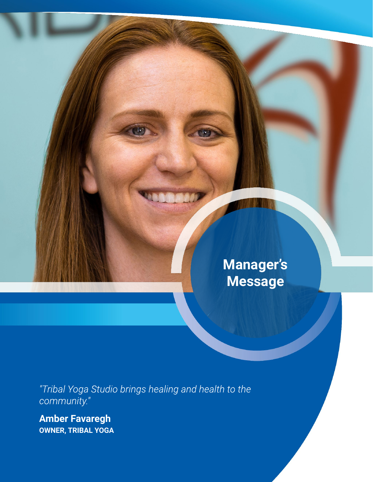

"Tribal Yoga Studio brings healing and health to the community."

**Amber Favaregh OWNER, TRIBAL YOGA**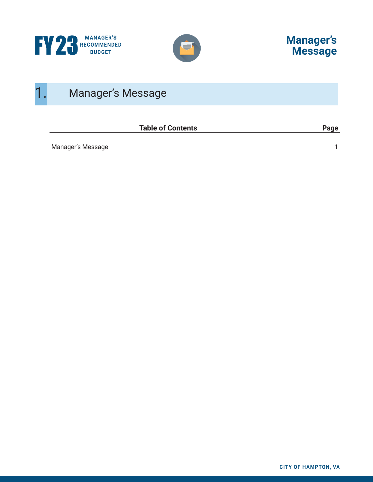





# 1. Manager's Message

| <b>Table of Contents</b> |  | Page |
|--------------------------|--|------|
|                          |  |      |
| Manager's Message        |  |      |

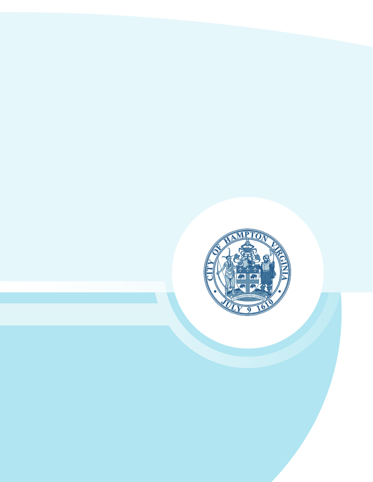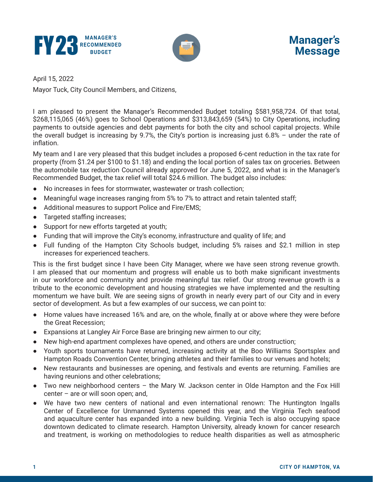





April 15, 2022 Mayor Tuck, City Council Members, and Citizens,

I am pleased to present the Manager's Recommended Budget totaling \$581,958,724. Of that total, \$268,115,065 (46%) goes to School Operations and \$313,843,659 (54%) to City Operations, including payments to outside agencies and debt payments for both the city and school capital projects. While the overall budget is increasing by 9.7%, the City's portion is increasing just 6.8% – under the rate of inflation.

My team and I are very pleased that this budget includes a proposed 6-cent reduction in the tax rate for property (from \$1.24 per \$100 to \$1.18) and ending the local portion of sales tax on groceries. Between the automobile tax reduction Council already approved for June 5, 2022, and what is in the Manager's Recommended Budget, the tax relief will total \$24.6 million. The budget also includes:

- No increases in fees for stormwater, wastewater or trash collection;
- Meaningful wage increases ranging from 5% to 7% to attract and retain talented staff;
- Additional measures to support Police and Fire/EMS;
- Targeted staffing increases;
- Support for new efforts targeted at youth;
- Funding that will improve the City's economy, infrastructure and quality of life; and
- Full funding of the Hampton City Schools budget, including 5% raises and \$2.1 million in step increases for experienced teachers.

This is the first budget since I have been City Manager, where we have seen strong revenue growth. I am pleased that our momentum and progress will enable us to both make significant investments in our workforce and community and provide meaningful tax relief. Our strong revenue growth is a tribute to the economic development and housing strategies we have implemented and the resulting momentum we have built. We are seeing signs of growth in nearly every part of our City and in every sector of development. As but a few examples of our success, we can point to:

- Home values have increased 16% and are, on the whole, finally at or above where they were before the Great Recession;
- Expansions at Langley Air Force Base are bringing new airmen to our city;
- New high-end apartment complexes have opened, and others are under construction;
- Youth sports tournaments have returned, increasing activity at the Boo Williams Sportsplex and Hampton Roads Convention Center, bringing athletes and their families to our venues and hotels;
- New restaurants and businesses are opening, and festivals and events are returning. Families are having reunions and other celebrations;
- Two new neighborhood centers the Mary W. Jackson center in Olde Hampton and the Fox Hill center – are or will soon open; and,
- We have two new centers of national and even international renown: The Huntington Ingalls Center of Excellence for Unmanned Systems opened this year, and the Virginia Tech seafood and aquaculture center has expanded into a new building. Virginia Tech is also occupying space downtown dedicated to climate research. Hampton University, already known for cancer research and treatment, is working on methodologies to reduce health disparities as well as atmospheric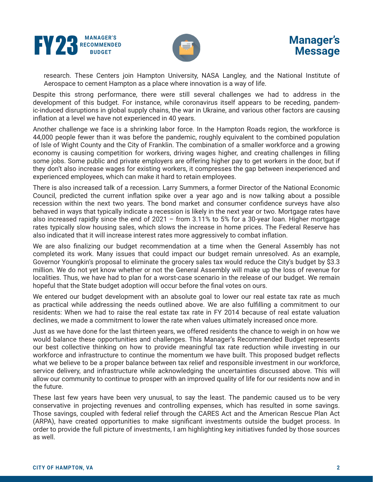



research. These Centers join Hampton University, NASA Langley, and the National Institute of Aerospace to cement Hampton as a place where innovation is a way of life.

Despite this strong performance, there were still several challenges we had to address in the development of this budget. For instance, while coronavirus itself appears to be receding, pandemic-induced disruptions in global supply chains, the war in Ukraine, and various other factors are causing inflation at a level we have not experienced in 40 years.

Another challenge we face is a shrinking labor force. In the Hampton Roads region, the workforce is 44,000 people fewer than it was before the pandemic, roughly equivalent to the combined population of Isle of Wight County and the City of Franklin. The combination of a smaller workforce and a growing economy is causing competition for workers, driving wages higher, and creating challenges in filling some jobs. Some public and private employers are offering higher pay to get workers in the door, but if they don't also increase wages for existing workers, it compresses the gap between inexperienced and experienced employees, which can make it hard to retain employees.

There is also increased talk of a recession. Larry Summers, a former Director of the National Economic Council, predicted the current inflation spike over a year ago and is now talking about a possible recession within the next two years. The bond market and consumer confidence surveys have also behaved in ways that typically indicate a recession is likely in the next year or two. Mortgage rates have also increased rapidly since the end of 2021 – from 3.11% to 5% for a 30-year loan. Higher mortgage rates typically slow housing sales, which slows the increase in home prices. The Federal Reserve has also indicated that it will increase interest rates more aggressively to combat inflation.

We are also finalizing our budget recommendation at a time when the General Assembly has not completed its work. Many issues that could impact our budget remain unresolved. As an example, Governor Youngkin's proposal to eliminate the grocery sales tax would reduce the City's budget by \$3.3 million. We do not yet know whether or not the General Assembly will make up the loss of revenue for localities. Thus, we have had to plan for a worst-case scenario in the release of our budget. We remain hopeful that the State budget adoption will occur before the final votes on ours.

We entered our budget development with an absolute goal to lower our real estate tax rate as much as practical while addressing the needs outlined above. We are also fulfilling a commitment to our residents: When we had to raise the real estate tax rate in FY 2014 because of real estate valuation declines, we made a commitment to lower the rate when values ultimately increased once more.

Just as we have done for the last thirteen years, we offered residents the chance to weigh in on how we would balance these opportunities and challenges. This Manager's Recommended Budget represents our best collective thinking on how to provide meaningful tax rate reduction while investing in our workforce and infrastructure to continue the momentum we have built. This proposed budget reflects what we believe to be a proper balance between tax relief and responsible investment in our workforce, service delivery, and infrastructure while acknowledging the uncertainties discussed above. This will allow our community to continue to prosper with an improved quality of life for our residents now and in the future.

These last few years have been very unusual, to say the least. The pandemic caused us to be very conservative in projecting revenues and controlling expenses, which has resulted in some savings. Those savings, coupled with federal relief through the CARES Act and the American Rescue Plan Act (ARPA), have created opportunities to make significant investments outside the budget process. In order to provide the full picture of investments, I am highlighting key initiatives funded by those sources as well.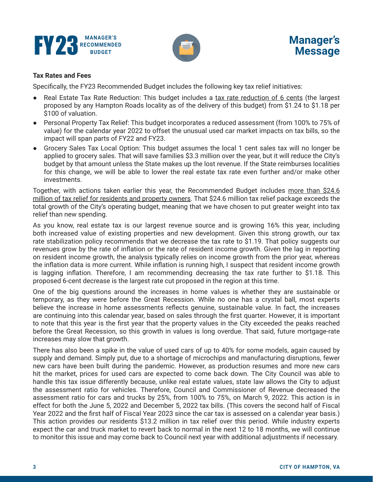



# **Tax Rates and Fees**

Specifically, the FY23 Recommended Budget includes the following key tax relief initiatives:

- Real Estate Tax Rate Reduction: This budget includes a tax rate reduction of 6 cents (the largest proposed by any Hampton Roads locality as of the delivery of this budget) from \$1.24 to \$1.18 per \$100 of valuation.
- Personal Property Tax Relief: This budget incorporates a reduced assessment (from 100% to 75% of value) for the calendar year 2022 to offset the unusual used car market impacts on tax bills, so the impact will span parts of FY22 and FY23.
- Grocery Sales Tax Local Option: This budget assumes the local 1 cent sales tax will no longer be applied to grocery sales. That will save families \$3.3 million over the year, but it will reduce the City's budget by that amount unless the State makes up the lost revenue. If the State reimburses localities for this change, we will be able to lower the real estate tax rate even further and/or make other investments.

Together, with actions taken earlier this year, the Recommended Budget includes more than \$24.6 million of tax relief for residents and property owners. That \$24.6 million tax relief package exceeds the total growth of the City's operating budget, meaning that we have chosen to put greater weight into tax relief than new spending.

As you know, real estate tax is our largest revenue source and is growing 16% this year, including both increased value of existing properties and new development. Given this strong growth, our tax rate stabilization policy recommends that we decrease the tax rate to \$1.19. That policy suggests our revenues grow by the rate of inflation or the rate of resident income growth. Given the lag in reporting on resident income growth, the analysis typically relies on income growth from the prior year, whereas the inflation data is more current. While inflation is running high, I suspect that resident income growth is lagging inflation. Therefore, I am recommending decreasing the tax rate further to \$1.18. This proposed 6-cent decrease is the largest rate cut proposed in the region at this time.

One of the big questions around the increases in home values is whether they are sustainable or temporary, as they were before the Great Recession. While no one has a crystal ball, most experts believe the increase in home assessments reflects genuine, sustainable value. In fact, the increases are continuing into this calendar year, based on sales through the first quarter. However, it is important to note that this year is the first year that the property values in the City exceeded the peaks reached before the Great Recession, so this growth in values is long overdue. That said, future mortgage-rate increases may slow that growth.

There has also been a spike in the value of used cars of up to 40% for some models, again caused by supply and demand. Simply put, due to a shortage of microchips and manufacturing disruptions, fewer new cars have been built during the pandemic. However, as production resumes and more new cars hit the market, prices for used cars are expected to come back down. The City Council was able to handle this tax issue differently because, unlike real estate values, state law allows the City to adjust the assessment ratio for vehicles. Therefore, Council and Commissioner of Revenue decreased the assessment ratio for cars and trucks by 25%, from 100% to 75%, on March 9, 2022. This action is in effect for both the June 5, 2022 and December 5, 2022 tax bills. (This covers the second half of Fiscal Year 2022 and the first half of Fiscal Year 2023 since the car tax is assessed on a calendar year basis.) This action provides our residents \$13.2 million in tax relief over this period. While industry experts expect the car and truck market to revert back to normal in the next 12 to 18 months, we will continue to monitor this issue and may come back to Council next year with additional adjustments if necessary.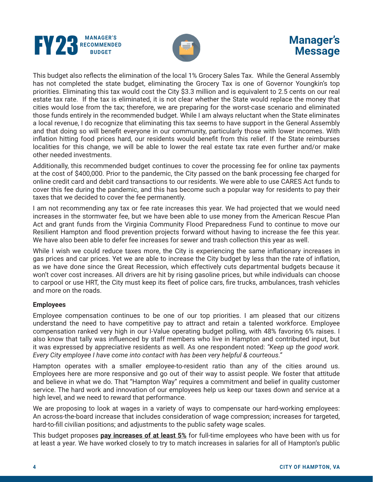



This budget also reflects the elimination of the local 1% Grocery Sales Tax. While the General Assembly has not completed the state budget, eliminating the Grocery Tax is one of Governor Youngkin's top priorities. Eliminating this tax would cost the City \$3.3 million and is equivalent to 2.5 cents on our real estate tax rate. If the tax is eliminated, it is not clear whether the State would replace the money that cities would lose from the tax; therefore, we are preparing for the worst-case scenario and eliminated those funds entirely in the recommended budget. While I am always reluctant when the State eliminates a local revenue, I do recognize that eliminating this tax seems to have support in the General Assembly and that doing so will benefit everyone in our community, particularly those with lower incomes. With inflation hitting food prices hard, our residents would benefit from this relief. If the State reimburses localities for this change, we will be able to lower the real estate tax rate even further and/or make other needed investments.

Additionally, this recommended budget continues to cover the processing fee for online tax payments at the cost of \$400,000. Prior to the pandemic, the City passed on the bank processing fee charged for online credit card and debit card transactions to our residents. We were able to use CARES Act funds to cover this fee during the pandemic, and this has become such a popular way for residents to pay their taxes that we decided to cover the fee permanently.

I am not recommending any tax or fee rate increases this year. We had projected that we would need increases in the stormwater fee, but we have been able to use money from the American Rescue Plan Act and grant funds from the Virginia Community Flood Preparedness Fund to continue to move our Resilient Hampton and flood prevention projects forward without having to increase the fee this year. We have also been able to defer fee increases for sewer and trash collection this year as well.

While I wish we could reduce taxes more, the City is experiencing the same inflationary increases in gas prices and car prices. Yet we are able to increase the City budget by less than the rate of inflation, as we have done since the Great Recession, which effectively cuts departmental budgets because it won't cover cost increases. All drivers are hit by rising gasoline prices, but while individuals can choose to carpool or use HRT, the City must keep its fleet of police cars, fire trucks, ambulances, trash vehicles and more on the roads.

# **Employees**

Employee compensation continues to be one of our top priorities. I am pleased that our citizens understand the need to have competitive pay to attract and retain a talented workforce. Employee compensation ranked very high in our I-Value operating budget polling, with 48% favoring 6% raises. I also know that tally was influenced by staff members who live in Hampton and contributed input, but it was expressed by appreciative residents as well. As one respondent noted: *"Keep up the good work. Every City employee I have come into contact with has been very helpful & courteous."*

Hampton operates with a smaller employee-to-resident ratio than any of the cities around us. Employees here are more responsive and go out of their way to assist people. We foster that attitude and believe in what we do. That "Hampton Way" requires a commitment and belief in quality customer service. The hard work and innovation of our employees help us keep our taxes down and service at a high level, and we need to reward that performance.

We are proposing to look at wages in a variety of ways to compensate our hard-working employees: An across-the-board increase that includes consideration of wage compression; increases for targeted, hard-to-fill civilian positions; and adjustments to the public safety wage scales.

This budget proposes **pay increases of at least 5%** for full-time employees who have been with us for at least a year. We have worked closely to try to match increases in salaries for all of Hampton's public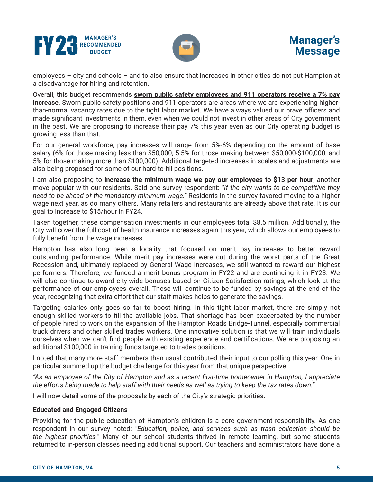



employees – city and schools – and to also ensure that increases in other cities do not put Hampton at a disadvantage for hiring and retention.

Overall, this budget recommends **sworn public safety employees and 911 operators receive a 7% pay increase**. Sworn public safety positions and 911 operators are areas where we are experiencing higherthan-normal vacancy rates due to the tight labor market. We have always valued our brave officers and made significant investments in them, even when we could not invest in other areas of City government in the past. We are proposing to increase their pay 7% this year even as our City operating budget is growing less than that.

For our general workforce, pay increases will range from 5%-6% depending on the amount of base salary (6% for those making less than \$50,000; 5.5% for those making between \$50,000-\$100,000; and 5% for those making more than \$100,000). Additional targeted increases in scales and adjustments are also being proposed for some of our hard-to-fill positions.

I am also proposing to **increase the minimum wage we pay our employees to \$13 per hour**, another move popular with our residents. Said one survey respondent: *"If the city wants to be competitive they need to be ahead of the mandatory minimum wage."* Residents in the survey favored moving to a higher wage next year, as do many others. Many retailers and restaurants are already above that rate. It is our goal to increase to \$15/hour in FY24.

Taken together, these compensation investments in our employees total \$8.5 million. Additionally, the City will cover the full cost of health insurance increases again this year, which allows our employees to fully benefit from the wage increases.

Hampton has also long been a locality that focused on merit pay increases to better reward outstanding performance. While merit pay increases were cut during the worst parts of the Great Recession and, ultimately replaced by General Wage Increases, we still wanted to reward our highest performers. Therefore, we funded a merit bonus program in FY22 and are continuing it in FY23. We will also continue to award city-wide bonuses based on Citizen Satisfaction ratings, which look at the performance of our employees overall. Those will continue to be funded by savings at the end of the year, recognizing that extra effort that our staff makes helps to generate the savings.

Targeting salaries only goes so far to boost hiring. In this tight labor market, there are simply not enough skilled workers to fill the available jobs. That shortage has been exacerbated by the number of people hired to work on the expansion of the Hampton Roads Bridge-Tunnel, especially commercial truck drivers and other skilled trades workers. One innovative solution is that we will train individuals ourselves when we can't find people with existing experience and certifications. We are proposing an additional \$100,000 in training funds targeted to trades positions.

I noted that many more staff members than usual contributed their input to our polling this year. One in particular summed up the budget challenge for this year from that unique perspective:

*"As an employee of the City of Hampton and as a recent first-time homeowner in Hampton, I appreciate the efforts being made to help staff with their needs as well as trying to keep the tax rates down."*

I will now detail some of the proposals by each of the City's strategic priorities.

### **Educated and Engaged Citizens**

Providing for the public education of Hampton's children is a core government responsibility. As one respondent in our survey noted: *"Education, police, and services such as trash collection should be the highest priorities."* Many of our school students thrived in remote learning, but some students returned to in-person classes needing additional support. Our teachers and administrators have done a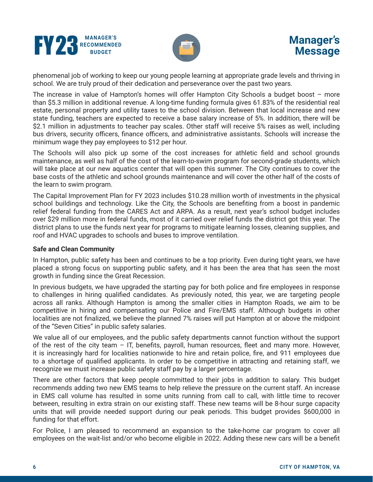



phenomenal job of working to keep our young people learning at appropriate grade levels and thriving in school. We are truly proud of their dedication and perseverance over the past two years.

The increase in value of Hampton's homes will offer Hampton City Schools a budget boost – more than \$5.3 million in additional revenue. A long-time funding formula gives 61.83% of the residential real estate, personal property and utility taxes to the school division. Between that local increase and new state funding, teachers are expected to receive a base salary increase of 5%. In addition, there will be \$2.1 million in adjustments to teacher pay scales. Other staff will receive 5% raises as well, including bus drivers, security officers, finance officers, and administrative assistants. Schools will increase the minimum wage they pay employees to \$12 per hour.

The Schools will also pick up some of the cost increases for athletic field and school grounds maintenance, as well as half of the cost of the learn-to-swim program for second-grade students, which will take place at our new aquatics center that will open this summer. The City continues to cover the base costs of the athletic and school grounds maintenance and will cover the other half of the costs of the learn to swim program.

The Capital Improvement Plan for FY 2023 includes \$10.28 million worth of investments in the physical school buildings and technology. Like the City, the Schools are benefiting from a boost in pandemic relief federal funding from the CARES Act and ARPA. As a result, next year's school budget includes over \$29 million more in federal funds, most of it carried over relief funds the district got this year. The district plans to use the funds next year for programs to mitigate learning losses, cleaning supplies, and roof and HVAC upgrades to schools and buses to improve ventilation.

### **Safe and Clean Community**

In Hampton, public safety has been and continues to be a top priority. Even during tight years, we have placed a strong focus on supporting public safety, and it has been the area that has seen the most growth in funding since the Great Recession.

In previous budgets, we have upgraded the starting pay for both police and fire employees in response to challenges in hiring qualified candidates. As previously noted, this year, we are targeting people across all ranks. Although Hampton is among the smaller cities in Hampton Roads, we aim to be competitive in hiring and compensating our Police and Fire/EMS staff. Although budgets in other localities are not finalized, we believe the planned 7% raises will put Hampton at or above the midpoint of the "Seven Cities" in public safety salaries.

We value all of our employees, and the public safety departments cannot function without the support of the rest of the city team – IT, benefits, payroll, human resources, fleet and many more. However, it is increasingly hard for localities nationwide to hire and retain police, fire, and 911 employees due to a shortage of qualified applicants. In order to be competitive in attracting and retaining staff, we recognize we must increase public safety staff pay by a larger percentage.

There are other factors that keep people committed to their jobs in addition to salary. This budget recommends adding two new EMS teams to help relieve the pressure on the current staff. An increase in EMS call volume has resulted in some units running from call to call, with little time to recover between, resulting in extra strain on our existing staff. These new teams will be 8-hour surge capacity units that will provide needed support during our peak periods. This budget provides \$600,000 in funding for that effort.

For Police, I am pleased to recommend an expansion to the take-home car program to cover all employees on the wait-list and/or who become eligible in 2022. Adding these new cars will be a benefit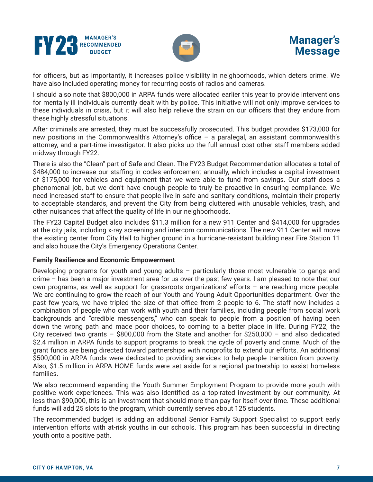



for officers, but as importantly, it increases police visibility in neighborhoods, which deters crime. We have also included operating money for recurring costs of radios and cameras.

I should also note that \$800,000 in ARPA funds were allocated earlier this year to provide interventions for mentally ill individuals currently dealt with by police. This initiative will not only improve services to these individuals in crisis, but it will also help relieve the strain on our officers that they endure from these highly stressful situations.

After criminals are arrested, they must be successfully prosecuted. This budget provides \$173,000 for new positions in the Commonwealth's Attorney's office – a paralegal, an assistant commonwealth's attorney, and a part-time investigator. It also picks up the full annual cost other staff members added midway through FY22.

There is also the "Clean" part of Safe and Clean. The FY23 Budget Recommendation allocates a total of \$484,000 to increase our staffing in codes enforcement annually, which includes a capital investment of \$175,000 for vehicles and equipment that we were able to fund from savings. Our staff does a phenomenal job, but we don't have enough people to truly be proactive in ensuring compliance. We need increased staff to ensure that people live in safe and sanitary conditions, maintain their property to acceptable standards, and prevent the City from being cluttered with unusable vehicles, trash, and other nuisances that affect the quality of life in our neighborhoods.

The FY23 Capital Budget also includes \$11.3 million for a new 911 Center and \$414,000 for upgrades at the city jails, including x-ray screening and intercom communications. The new 911 Center will move the existing center from City Hall to higher ground in a hurricane-resistant building near Fire Station 11 and also house the City's Emergency Operations Center.

### **Family Resilience and Economic Empowerment**

Developing programs for youth and young adults – particularly those most vulnerable to gangs and crime – has been a major investment area for us over the past few years. I am pleased to note that our own programs, as well as support for grassroots organizations' efforts – are reaching more people. We are continuing to grow the reach of our Youth and Young Adult Opportunities department. Over the past few years, we have tripled the size of that office from 2 people to 6. The staff now includes a combination of people who can work with youth and their families, including people from social work backgrounds and "credible messengers," who can speak to people from a position of having been down the wrong path and made poor choices, to coming to a better place in life. During FY22, the City received two grants – \$800,000 from the State and another for \$250,000 – and also dedicated \$2.4 million in ARPA funds to support programs to break the cycle of poverty and crime. Much of the grant funds are being directed toward partnerships with nonprofits to extend our efforts. An additional \$500,000 in ARPA funds were dedicated to providing services to help people transition from poverty. Also, \$1.5 million in ARPA HOME funds were set aside for a regional partnership to assist homeless families.

We also recommend expanding the Youth Summer Employment Program to provide more youth with positive work experiences. This was also identified as a top-rated investment by our community. At less than \$90,000, this is an investment that should more than pay for itself over time. These additional funds will add 25 slots to the program, which currently serves about 125 students.

The recommended budget is adding an additional Senior Family Support Specialist to support early intervention efforts with at-risk youths in our schools. This program has been successful in directing youth onto a positive path.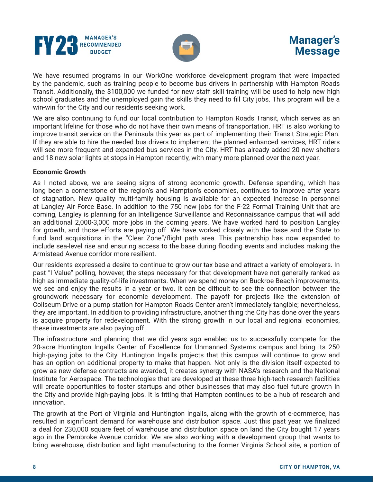





We have resumed programs in our WorkOne workforce development program that were impacted by the pandemic, such as training people to become bus drivers in partnership with Hampton Roads Transit. Additionally, the \$100,000 we funded for new staff skill training will be used to help new high school graduates and the unemployed gain the skills they need to fill City jobs. This program will be a win-win for the City and our residents seeking work.

We are also continuing to fund our local contribution to Hampton Roads Transit, which serves as an important lifeline for those who do not have their own means of transportation. HRT is also working to improve transit service on the Peninsula this year as part of implementing their Transit Strategic Plan. If they are able to hire the needed bus drivers to implement the planned enhanced services, HRT riders will see more frequent and expanded bus services in the City. HRT has already added 20 new shelters and 18 new solar lights at stops in Hampton recently, with many more planned over the next year.

## **Economic Growth**

As I noted above, we are seeing signs of strong economic growth. Defense spending, which has long been a cornerstone of the region's and Hampton's economies, continues to improve after years of stagnation. New quality multi-family housing is available for an expected increase in personnel at Langley Air Force Base. In addition to the 750 new jobs for the F-22 Formal Training Unit that are coming, Langley is planning for an Intelligence Surveillance and Reconnaissance campus that will add an additional 2,000-3,000 more jobs in the coming years. We have worked hard to position Langley for growth, and those efforts are paying off. We have worked closely with the base and the State to fund land acquisitions in the "Clear Zone"/flight path area. This partnership has now expanded to include sea-level rise and ensuring access to the base during flooding events and includes making the Armistead Avenue corridor more resilient.

Our residents expressed a desire to continue to grow our tax base and attract a variety of employers. In past "I Value" polling, however, the steps necessary for that development have not generally ranked as high as immediate quality-of-life investments. When we spend money on Buckroe Beach improvements, we see and enjoy the results in a year or two. It can be difficult to see the connection between the groundwork necessary for economic development. The payoff for projects like the extension of Coliseum Drive or a pump station for Hampton Roads Center aren't immediately tangible; nevertheless, they are important. In addition to providing infrastructure, another thing the City has done over the years is acquire property for redevelopment. With the strong growth in our local and regional economies, these investments are also paying off.

The infrastructure and planning that we did years ago enabled us to successfully compete for the 20-acre Huntington Ingalls Center of Excellence for Unmanned Systems campus and bring its 250 high-paying jobs to the City. Huntington Ingalls projects that this campus will continue to grow and has an option on additional property to make that happen. Not only is the division itself expected to grow as new defense contracts are awarded, it creates synergy with NASA's research and the National Institute for Aerospace. The technologies that are developed at these three high-tech research facilities will create opportunities to foster startups and other businesses that may also fuel future growth in the City and provide high-paying jobs. It is fitting that Hampton continues to be a hub of research and innovation.

The growth at the Port of Virginia and Huntington Ingalls, along with the growth of e-commerce, has resulted in significant demand for warehouse and distribution space. Just this past year, we finalized a deal for 230,000 square feet of warehouse and distribution space on land the City bought 17 years ago in the Pembroke Avenue corridor. We are also working with a development group that wants to bring warehouse, distribution and light manufacturing to the former Virginia School site, a portion of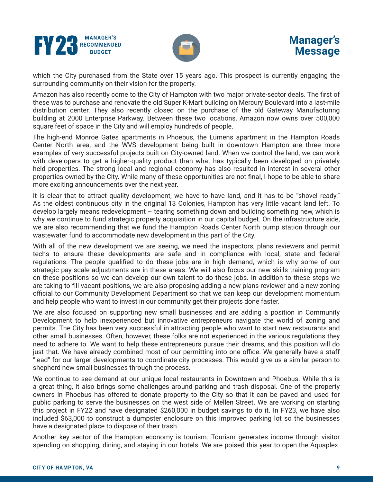



which the City purchased from the State over 15 years ago. This prospect is currently engaging the surrounding community on their vision for the property.

Amazon has also recently come to the City of Hampton with two major private-sector deals. The first of these was to purchase and renovate the old Super K-Mart building on Mercury Boulevard into a last-mile distribution center. They also recently closed on the purchase of the old Gateway Manufacturing building at 2000 Enterprise Parkway. Between these two locations, Amazon now owns over 500,000 square feet of space in the City and will employ hundreds of people.

The high-end Monroe Gates apartments in Phoebus, the Lumens apartment in the Hampton Roads Center North area, and the WVS development being built in downtown Hampton are three more examples of very successful projects built on City-owned land. When we control the land, we can work with developers to get a higher-quality product than what has typically been developed on privately held properties. The strong local and regional economy has also resulted in interest in several other properties owned by the City. While many of these opportunities are not final, I hope to be able to share more exciting announcements over the next year.

It is clear that to attract quality development, we have to have land, and it has to be "shovel ready." As the oldest continuous city in the original 13 Colonies, Hampton has very little vacant land left. To develop largely means redevelopment – tearing something down and building something new, which is why we continue to fund strategic property acquisition in our capital budget. On the infrastructure side, we are also recommending that we fund the Hampton Roads Center North pump station through our wastewater fund to accommodate new development in this part of the City.

With all of the new development we are seeing, we need the inspectors, plans reviewers and permit techs to ensure these developments are safe and in compliance with local, state and federal regulations. The people qualified to do these jobs are in high demand, which is why some of our strategic pay scale adjustments are in these areas. We will also focus our new skills training program on these positions so we can develop our own talent to do these jobs. In addition to these steps we are taking to fill vacant positions, we are also proposing adding a new plans reviewer and a new zoning official to our Community Development Department so that we can keep our development momentum and help people who want to invest in our community get their projects done faster.

We are also focused on supporting new small businesses and are adding a position in Community Development to help inexperienced but innovative entrepreneurs navigate the world of zoning and permits. The City has been very successful in attracting people who want to start new restaurants and other small businesses. Often, however, these folks are not experienced in the various regulations they need to adhere to. We want to help these entrepreneurs pursue their dreams, and this position will do just that. We have already combined most of our permitting into one office. We generally have a staff "lead" for our larger developments to coordinate city processes. This would give us a similar person to shepherd new small businesses through the process.

We continue to see demand at our unique local restaurants in Downtown and Phoebus. While this is a great thing, it also brings some challenges around parking and trash disposal. One of the property owners in Phoebus has offered to donate property to the City so that it can be paved and used for public parking to serve the businesses on the west side of Mellen Street. We are working on starting this project in FY22 and have designated \$260,000 in budget savings to do it. In FY23, we have also included \$63,000 to construct a dumpster enclosure on this improved parking lot so the businesses have a designated place to dispose of their trash.

Another key sector of the Hampton economy is tourism. Tourism generates income through visitor spending on shopping, dining, and staying in our hotels. We are poised this year to open the Aquaplex.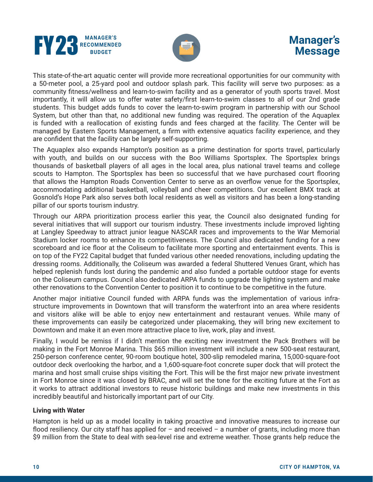



This state-of-the-art aquatic center will provide more recreational opportunities for our community with a 50-meter pool, a 25-yard pool and outdoor splash park. This facility will serve two purposes: as a community fitness/wellness and learn-to-swim facility and as a generator of youth sports travel. Most importantly, it will allow us to offer water safety/first learn-to-swim classes to all of our 2nd grade students. This budget adds funds to cover the learn-to-swim program in partnership with our School System, but other than that, no additional new funding was required. The operation of the Aquaplex is funded with a reallocation of existing funds and fees charged at the facility. The Center will be managed by Eastern Sports Management, a firm with extensive aquatics facility experience, and they are confident that the facility can be largely self-supporting.

The Aquaplex also expands Hampton's position as a prime destination for sports travel, particularly with youth, and builds on our success with the Boo Williams Sportsplex. The Sportsplex brings thousands of basketball players of all ages in the local area, plus national travel teams and college scouts to Hampton. The Sportsplex has been so successful that we have purchased court flooring that allows the Hampton Roads Convention Center to serve as an overflow venue for the Sportsplex, accommodating additional basketball, volleyball and cheer competitions. Our excellent BMX track at Gosnold's Hope Park also serves both local residents as well as visitors and has been a long-standing pillar of our sports tourism industry.

Through our ARPA prioritization process earlier this year, the Council also designated funding for several initiatives that will support our tourism industry. These investments include improved lighting at Langley Speedway to attract junior league NASCAR races and improvements to the War Memorial Stadium locker rooms to enhance its competitiveness. The Council also dedicated funding for a new scoreboard and ice floor at the Coliseum to facilitate more sporting and entertainment events. This is on top of the FY22 Capital budget that funded various other needed renovations, including updating the dressing rooms. Additionally, the Coliseum was awarded a federal Shuttered Venues Grant, which has helped replenish funds lost during the pandemic and also funded a portable outdoor stage for events on the Coliseum campus. Council also dedicated ARPA funds to upgrade the lighting system and make other renovations to the Convention Center to position it to continue to be competitive in the future.

Another major initiative Council funded with ARPA funds was the implementation of various infrastructure improvements in Downtown that will transform the waterfront into an area where residents and visitors alike will be able to enjoy new entertainment and restaurant venues. While many of these improvements can easily be categorized under placemaking, they will bring new excitement to Downtown and make it an even more attractive place to live, work, play and invest.

Finally, I would be remiss if I didn't mention the exciting new investment the Pack Brothers will be making in the Fort Monroe Marina. This \$65 million investment will include a new 500-seat restaurant, 250-person conference center, 90-room boutique hotel, 300-slip remodeled marina, 15,000-square-foot outdoor deck overlooking the harbor, and a 1,600-square-foot concrete super dock that will protect the marina and host small cruise ships visiting the Fort. This will be the first major new private investment in Fort Monroe since it was closed by BRAC, and will set the tone for the exciting future at the Fort as it works to attract additional investors to reuse historic buildings and make new investments in this incredibly beautiful and historically important part of our City.

# **Living with Water**

Hampton is held up as a model locality in taking proactive and innovative measures to increase our flood resiliency. Our city staff has applied for  $-$  and received  $-$  a number of grants, including more than \$9 million from the State to deal with sea-level rise and extreme weather. Those grants help reduce the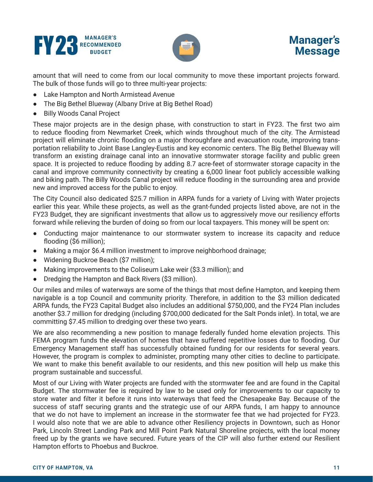



amount that will need to come from our local community to move these important projects forward. The bulk of those funds will go to three multi-year projects:

- Lake Hampton and North Armistead Avenue
- The Big Bethel Blueway (Albany Drive at Big Bethel Road)
- **Billy Woods Canal Project**

These major projects are in the design phase, with construction to start in FY23. The first two aim to reduce flooding from Newmarket Creek, which winds throughout much of the city. The Armistead project will eliminate chronic flooding on a major thoroughfare and evacuation route, improving transportation reliability to Joint Base Langley-Eustis and key economic centers. The Big Bethel Blueway will transform an existing drainage canal into an innovative stormwater storage facility and public green space. It is projected to reduce flooding by adding 8.7 acre-feet of stormwater storage capacity in the canal and improve community connectivity by creating a 6,000 linear foot publicly accessible walking and biking path. The Billy Woods Canal project will reduce flooding in the surrounding area and provide new and improved access for the public to enjoy.

The City Council also dedicated \$25.7 million in ARPA funds for a variety of Living with Water projects earlier this year. While these projects, as well as the grant-funded projects listed above, are not in the FY23 Budget, they are significant investments that allow us to aggressively move our resiliency efforts forward while relieving the burden of doing so from our local taxpayers. This money will be spent on:

- Conducting major maintenance to our stormwater system to increase its capacity and reduce flooding (\$6 million);
- Making a major \$6.4 million investment to improve neighborhood drainage;
- Widening Buckroe Beach (\$7 million);
- Making improvements to the Coliseum Lake weir (\$3.3 million); and
- Dredging the Hampton and Back Rivers (\$3 million).

Our miles and miles of waterways are some of the things that most define Hampton, and keeping them navigable is a top Council and community priority. Therefore, in addition to the \$3 million dedicated ARPA funds, the FY23 Capital Budget also includes an additional \$750,000, and the FY24 Plan includes another \$3.7 million for dredging (including \$700,000 dedicated for the Salt Ponds inlet). In total, we are committing \$7.45 million to dredging over these two years.

We are also recommending a new position to manage federally funded home elevation projects. This FEMA program funds the elevation of homes that have suffered repetitive losses due to flooding. Our Emergency Management staff has successfully obtained funding for our residents for several years. However, the program is complex to administer, prompting many other cities to decline to participate. We want to make this benefit available to our residents, and this new position will help us make this program sustainable and successful.

Most of our Living with Water projects are funded with the stormwater fee and are found in the Capital Budget. The stormwater fee is required by law to be used only for improvements to our capacity to store water and filter it before it runs into waterways that feed the Chesapeake Bay. Because of the success of staff securing grants and the strategic use of our ARPA funds, I am happy to announce that we do not have to implement an increase in the stormwater fee that we had projected for FY23. I would also note that we are able to advance other Resiliency projects in Downtown, such as Honor Park, Lincoln Street Landing Park and Mill Point Park Natural Shoreline projects, with the local money freed up by the grants we have secured. Future years of the CIP will also further extend our Resilient Hampton efforts to Phoebus and Buckroe.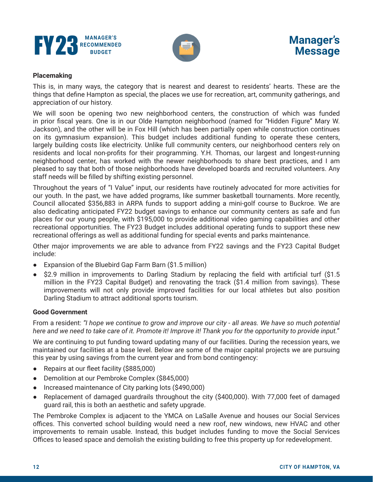



## **Placemaking**

This is, in many ways, the category that is nearest and dearest to residents' hearts. These are the things that define Hampton as special, the places we use for recreation, art, community gatherings, and appreciation of our history.

We will soon be opening two new neighborhood centers, the construction of which was funded in prior fiscal years. One is in our Olde Hampton neighborhood (named for "Hidden Figure" Mary W. Jackson), and the other will be in Fox Hill (which has been partially open while construction continues on its gymnasium expansion). This budget includes additional funding to operate these centers, largely building costs like electricity. Unlike full community centers, our neighborhood centers rely on residents and local non-profits for their programming. Y.H. Thomas, our largest and longest-running neighborhood center, has worked with the newer neighborhoods to share best practices, and I am pleased to say that both of those neighborhoods have developed boards and recruited volunteers. Any staff needs will be filled by shifting existing personnel.

Throughout the years of "I Value" input, our residents have routinely advocated for more activities for our youth. In the past, we have added programs, like summer basketball tournaments. More recently, Council allocated \$356,883 in ARPA funds to support adding a mini-golf course to Buckroe. We are also dedicating anticipated FY22 budget savings to enhance our community centers as safe and fun places for our young people, with \$195,000 to provide additional video gaming capabilities and other recreational opportunities. The FY23 Budget includes additional operating funds to support these new recreational offerings as well as additional funding for special events and parks maintenance.

Other major improvements we are able to advance from FY22 savings and the FY23 Capital Budget include:

- **Expansion of the Bluebird Gap Farm Barn (\$1.5 million)**
- \$2.9 million in improvements to Darling Stadium by replacing the field with artificial turf (\$1.5 million in the FY23 Capital Budget) and renovating the track (\$1.4 million from savings). These improvements will not only provide improved facilities for our local athletes but also position Darling Stadium to attract additional sports tourism.

### **Good Government**

From a resident: *"I hope we continue to grow and improve our city - all areas. We have so much potential here and we need to take care of it. Promote it! Improve it! Thank you for the opportunity to provide input."*

We are continuing to put funding toward updating many of our facilities. During the recession years, we maintained our facilities at a base level. Below are some of the major capital projects we are pursuing this year by using savings from the current year and from bond contingency:

- Repairs at our fleet facility (\$885,000)
- Demolition at our Pembroke Complex (\$845,000)
- Increased maintenance of City parking lots (\$490,000)
- Replacement of damaged guardrails throughout the city (\$400,000). With 77,000 feet of damaged guard rail, this is both an aesthetic and safety upgrade.

The Pembroke Complex is adjacent to the YMCA on LaSalle Avenue and houses our Social Services offices. This converted school building would need a new roof, new windows, new HVAC and other improvements to remain usable. Instead, this budget includes funding to move the Social Services Offices to leased space and demolish the existing building to free this property up for redevelopment.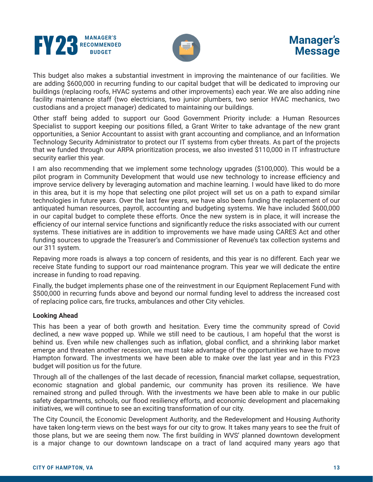





This budget also makes a substantial investment in improving the maintenance of our facilities. We are adding \$600,000 in recurring funding to our capital budget that will be dedicated to improving our buildings (replacing roofs, HVAC systems and other improvements) each year. We are also adding nine facility maintenance staff (two electricians, two junior plumbers, two senior HVAC mechanics, two custodians and a project manager) dedicated to maintaining our buildings.

Other staff being added to support our Good Government Priority include: a Human Resources Specialist to support keeping our positions filled, a Grant Writer to take advantage of the new grant opportunities, a Senior Accountant to assist with grant accounting and compliance, and an Information Technology Security Administrator to protect our IT systems from cyber threats. As part of the projects that we funded through our ARPA prioritization process, we also invested \$110,000 in IT infrastructure security earlier this year.

I am also recommending that we implement some technology upgrades (\$100,000). This would be a pilot program in Community Development that would use new technology to increase efficiency and improve service delivery by leveraging automation and machine learning. I would have liked to do more in this area, but it is my hope that selecting one pilot project will set us on a path to expand similar technologies in future years. Over the last few years, we have also been funding the replacement of our antiquated human resources, payroll, accounting and budgeting systems. We have included \$600,000 in our capital budget to complete these efforts. Once the new system is in place, it will increase the efficiency of our internal service functions and significantly reduce the risks associated with our current systems. These initiatives are in addition to improvements we have made using CARES Act and other funding sources to upgrade the Treasurer's and Commissioner of Revenue's tax collection systems and our 311 system.

Repaving more roads is always a top concern of residents, and this year is no different. Each year we receive State funding to support our road maintenance program. This year we will dedicate the entire increase in funding to road repaving.

Finally, the budget implements phase one of the reinvestment in our Equipment Replacement Fund with \$500,000 in recurring funds above and beyond our normal funding level to address the increased cost of replacing police cars, fire trucks, ambulances and other City vehicles.

### **Looking Ahead**

This has been a year of both growth and hesitation. Every time the community spread of Covid declined, a new wave popped up. While we still need to be cautious, I am hopeful that the worst is behind us. Even while new challenges such as inflation, global conflict, and a shrinking labor market emerge and threaten another recession, we must take advantage of the opportunities we have to move Hampton forward. The investments we have been able to make over the last year and in this FY23 budget will position us for the future.

Through all of the challenges of the last decade of recession, financial market collapse, sequestration, economic stagnation and global pandemic, our community has proven its resilience. We have remained strong and pulled through. With the investments we have been able to make in our public safety departments, schools, our flood resiliency efforts, and economic development and placemaking initiatives, we will continue to see an exciting transformation of our city.

The City Council, the Economic Development Authority, and the Redevelopment and Housing Authority have taken long-term views on the best ways for our city to grow. It takes many years to see the fruit of those plans, but we are seeing them now. The first building in WVS' planned downtown development is a major change to our downtown landscape on a tract of land acquired many years ago that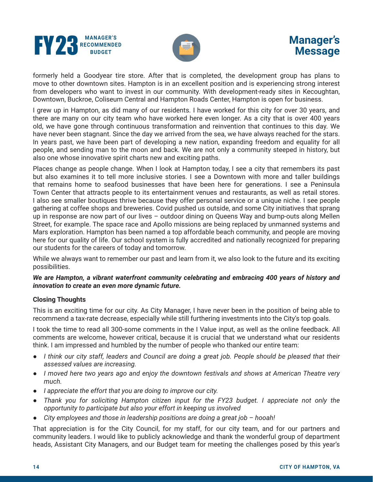



formerly held a Goodyear tire store. After that is completed, the development group has plans to move to other downtown sites. Hampton is in an excellent position and is experiencing strong interest from developers who want to invest in our community. With development-ready sites in Kecoughtan, Downtown, Buckroe, Coliseum Central and Hampton Roads Center, Hampton is open for business.

I grew up in Hampton, as did many of our residents. I have worked for this city for over 30 years, and there are many on our city team who have worked here even longer. As a city that is over 400 years old, we have gone through continuous transformation and reinvention that continues to this day. We have never been stagnant. Since the day we arrived from the sea, we have always reached for the stars. In years past, we have been part of developing a new nation, expanding freedom and equality for all people, and sending man to the moon and back. We are not only a community steeped in history, but also one whose innovative spirit charts new and exciting paths.

Places change as people change. When I look at Hampton today, I see a city that remembers its past but also examines it to tell more inclusive stories. I see a Downtown with more and taller buildings that remains home to seafood businesses that have been here for generations. I see a Peninsula Town Center that attracts people to its entertainment venues and restaurants, as well as retail stores. I also see smaller boutiques thrive because they offer personal service or a unique niche. I see people gathering at coffee shops and breweries. Covid pushed us outside, and some City initiatives that sprang up in response are now part of our lives – outdoor dining on Queens Way and bump-outs along Mellen Street, for example. The space race and Apollo missions are being replaced by unmanned systems and Mars exploration. Hampton has been named a top affordable beach community, and people are moving here for our quality of life. Our school system is fully accredited and nationally recognized for preparing our students for the careers of today and tomorrow.

While we always want to remember our past and learn from it, we also look to the future and its exciting possibilities.

## *We are Hampton, a vibrant waterfront community celebrating and embracing 400 years of history and innovation to create an even more dynamic future.*

# **Closing Thoughts**

This is an exciting time for our city. As City Manager, I have never been in the position of being able to recommend a tax-rate decrease, especially while still furthering investments into the City's top goals.

I took the time to read all 300-some comments in the I Value input, as well as the online feedback. All comments are welcome, however critical, because it is crucial that we understand what our residents think. I am impressed and humbled by the number of people who thanked our entire team:

- *I think our city staff, leaders and Council are doing a great job. People should be pleased that their assessed values are increasing.*
- *I moved here two years ago and enjoy the downtown festivals and shows at American Theatre very much.*
- *I appreciate the effort that you are doing to improve our city.*
- *Thank you for soliciting Hampton citizen input for the FY23 budget. I appreciate not only the opportunity to participate but also your effort in keeping us involved*
- *City employees and those in leadership positions are doing a great job hooah!*

That appreciation is for the City Council, for my staff, for our city team, and for our partners and community leaders. I would like to publicly acknowledge and thank the wonderful group of department heads, Assistant City Managers, and our Budget team for meeting the challenges posed by this year's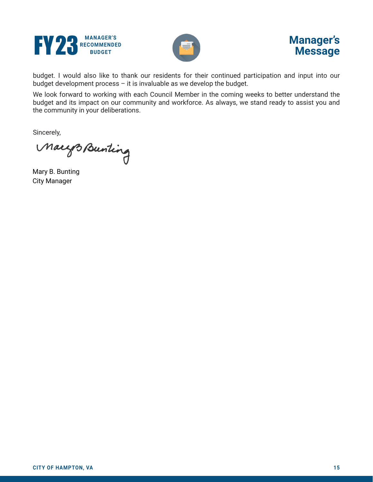





budget. I would also like to thank our residents for their continued participation and input into our budget development process – it is invaluable as we develop the budget.

We look forward to working with each Council Member in the coming weeks to better understand the budget and its impact on our community and workforce. As always, we stand ready to assist you and the community in your deliberations.

Sincerely,

Margos Bunting

Mary B. Bunting City Manager